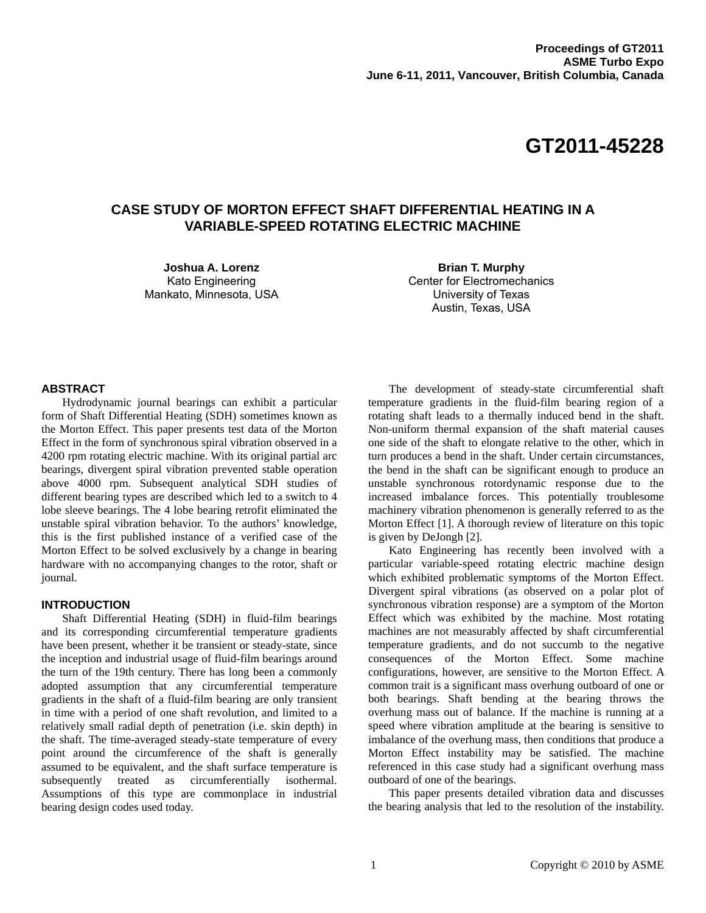# **CASE STUDY OF MORTON EFFECT SHAFT DIFFERENTIAL HEATING IN A VARIABLE-SPEED ROTATING ELECTRIC MACHINE**

**Joshua A. Lorenz**  Kato Engineering Mankato, Minnesota, USA

**Brian T. Murphy**  Center for Electromechanics University of Texas Austin, Texas, USA

# **ABSTRACT**

Hydrodynamic journal bearings can exhibit a particular form of Shaft Differential Heating (SDH) sometimes known as the Morton Effect. This paper presents test data of the Morton Effect in the form of synchronous spiral vibration observed in a 4200 rpm rotating electric machine. With its original partial arc bearings, divergent spiral vibration prevented stable operation above 4000 rpm. Subsequent analytical SDH studies of different bearing types are described which led to a switch to 4 lobe sleeve bearings. The 4 lobe bearing retrofit eliminated the unstable spiral vibration behavior. To the authors' knowledge, this is the first published instance of a verified case of the Morton Effect to be solved exclusively by a change in bearing hardware with no accompanying changes to the rotor, shaft or journal.

## **INTRODUCTION**

Shaft Differential Heating (SDH) in fluid-film bearings and its corresponding circumferential temperature gradients have been present, whether it be transient or steady-state, since the inception and industrial usage of fluid-film bearings around the turn of the 19th century. There has long been a commonly adopted assumption that any circumferential temperature gradients in the shaft of a fluid-film bearing are only transient in time with a period of one shaft revolution, and limited to a relatively small radial depth of penetration (i.e. skin depth) in the shaft. The time-averaged steady-state temperature of every point around the circumference of the shaft is generally assumed to be equivalent, and the shaft surface temperature is subsequently treated as circumferentially isothermal. Assumptions of this type are commonplace in industrial bearing design codes used today.

The development of steady-state circumferential shaft temperature gradients in the fluid-film bearing region of a rotating shaft leads to a thermally induced bend in the shaft. Non-uniform thermal expansion of the shaft material causes one side of the shaft to elongate relative to the other, which in turn produces a bend in the shaft. Under certain circumstances, the bend in the shaft can be significant enough to produce an unstable synchronous rotordynamic response due to the increased imbalance forces. This potentially troublesome machinery vibration phenomenon is generally referred to as the Morton Effect [\[1](#page-12-0)]. A thorough review of literature on this topic is given by DeJongh [[2\]](#page-12-1).

Kato Engineering has recently been involved with a particular variable-speed rotating electric machine design which exhibited problematic symptoms of the Morton Effect. Divergent spiral vibrations (as observed on a polar plot of synchronous vibration response) are a symptom of the Morton Effect which was exhibited by the machine. Most rotating machines are not measurably affected by shaft circumferential temperature gradients, and do not succumb to the negative consequences of the Morton Effect. Some machine configurations, however, are sensitive to the Morton Effect. A common trait is a significant mass overhung outboard of one or both bearings. Shaft bending at the bearing throws the overhung mass out of balance. If the machine is running at a speed where vibration amplitude at the bearing is sensitive to imbalance of the overhung mass, then conditions that produce a Morton Effect instability may be satisfied. The machine referenced in this case study had a significant overhung mass outboard of one of the bearings.

This paper presents detailed vibration data and discusses the bearing analysis that led to the resolution of the instability.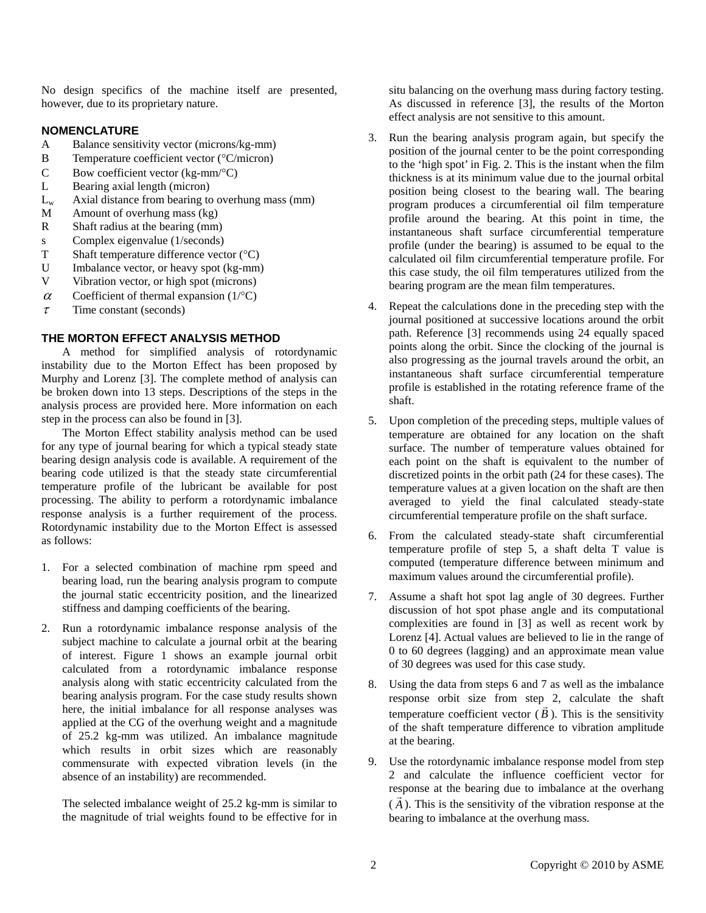No design specifics of the machine itself are presented, however, due to its proprietary nature.

# **NOMENCLATURE**

- A Balance sensitivity vector (microns/kg-mm)
- B Temperature coefficient vector  $(^{\circ}C/micron)$
- C Bow coefficient vector  $(kg\text{-}mm^{\prime\circ}C)$
- L Bearing axial length (micron)
- $L<sub>w</sub>$  Axial distance from bearing to overhung mass (mm)
- M Amount of overhung mass (kg)
- R Shaft radius at the bearing (mm)
- s Complex eigenvalue (1/seconds)
- T Shaft temperature difference vector  $(^{\circ}C)$
- U Imbalance vector, or heavy spot (kg-mm)
- V Vibration vector, or high spot (microns)
- $\alpha$  Coefficient of thermal expansion (1/°C)
- $\tau$  Time constant (seconds)

# **THE MORTON EFFECT ANALYSIS METHOD**

A method for simplified analysis of rotordynamic instability due to the Morton Effect has been proposed by Murphy and Lorenz [[3\]](#page-12-2). The complete method of analysis can be broken down into 13 steps. Descriptions of the steps in the analysis process are provided here. More information on each step in the process can also be found in [\[3](#page-12-2)].

The Morton Effect stability analysis method can be used for any type of journal bearing for which a typical steady state bearing design analysis code is available. A requirement of the bearing code utilized is that the steady state circumferential temperature profile of the lubricant be available for post processing. The ability to perform a rotordynamic imbalance response analysis is a further requirement of the process. Rotordynamic instability due to the Morton Effect is assessed as follows:

- 1. For a selected combination of machine rpm speed and bearing load, run the bearing analysis program to compute the journal static eccentricity position, and the linearized stiffness and damping coefficients of the bearing.
- 2. Run a rotordynamic imbalance response analysis of the subject machine to calculate a journal orbit at the bearing of interest. Figure [1](#page-2-0) shows an example journal orbit calculated from a rotordynamic imbalance response analysis along with static eccentricity calculated from the bearing analysis program. For the case study results shown here, the initial imbalance for all response analyses was applied at the CG of the overhung weight and a magnitude of 25.2 kg-mm was utilized. An imbalance magnitude which results in orbit sizes which are reasonably commensurate with expected vibration levels (in the absence of an instability) are recommended.

The selected imbalance weight of 25.2 kg-mm is similar to the magnitude of trial weights found to be effective for in situ balancing on the overhung mass during factory testing. As discussed in reference [3], the results of the Morton effect analysis are not sensitive to this amount.

- 3. Run the bearing analysis program again, but specify the position of the journal center to be the point corresponding to the 'high spot' in Fig. [2](#page-2-1). This is the instant when the film thickness is at its minimum value due to the journal orbital position being closest to the bearing wall. The bearing program produces a circumferential oil film temperature profile around the bearing. At this point in time, the instantaneous shaft surface circumferential temperature profile (under the bearing) is assumed to be equal to the calculated oil film circumferential temperature profile. For this case study, the oil film temperatures utilized from the bearing program are the mean film temperatures.
- 4. Repeat the calculations done in the preceding step with the journal positioned at successive locations around the orbit path. Reference [[3](#page-12-2)] recommends using 24 equally spaced points along the orbit. Since the clocking of the journal is also progressing as the journal travels around the orbit, an instantaneous shaft surface circumferential temperature profile is established in the rotating reference frame of the shaft.
- 5. Upon completion of the preceding steps, multiple values of temperature are obtained for any location on the shaft surface. The number of temperature values obtained for each point on the shaft is equivalent to the number of discretized points in the orbit path (24 for these cases). The temperature values at a given location on the shaft are then averaged to yield the final calculated steady-state circumferential temperature profile on the shaft surface.
- 6. From the calculated steady-state shaft circumferential temperature profile of step 5, a shaft delta T value is computed (temperature difference between minimum and maximum values around the circumferential profile).
- 7. Assume a shaft hot spot lag angle of 30 degrees. Further discussion of hot spot phase angle and its computational complexities are found in [[3\]](#page-12-2) as well as recent work by Lorenz [[4](#page-12-3)]. Actual values are believed to lie in the range of 0 to 60 degrees (lagging) and an approximate mean value of 30 degrees was used for this case study.
- 8. Using the data from steps 6 and 7 as well as the imbalance response orbit size from step 2, calculate the shaft temperature coefficient vector  $(\vec{B})$ . This is the sensitivity of the shaft temperature difference to vibration amplitude at the bearing.
- 9. Use the rotordynamic imbalance response model from step 2 and calculate the influence coefficient vector for response at the bearing due to imbalance at the overhang  $(\vec{A})$ . This is the sensitivity of the vibration response at the bearing to imbalance at the overhung mass.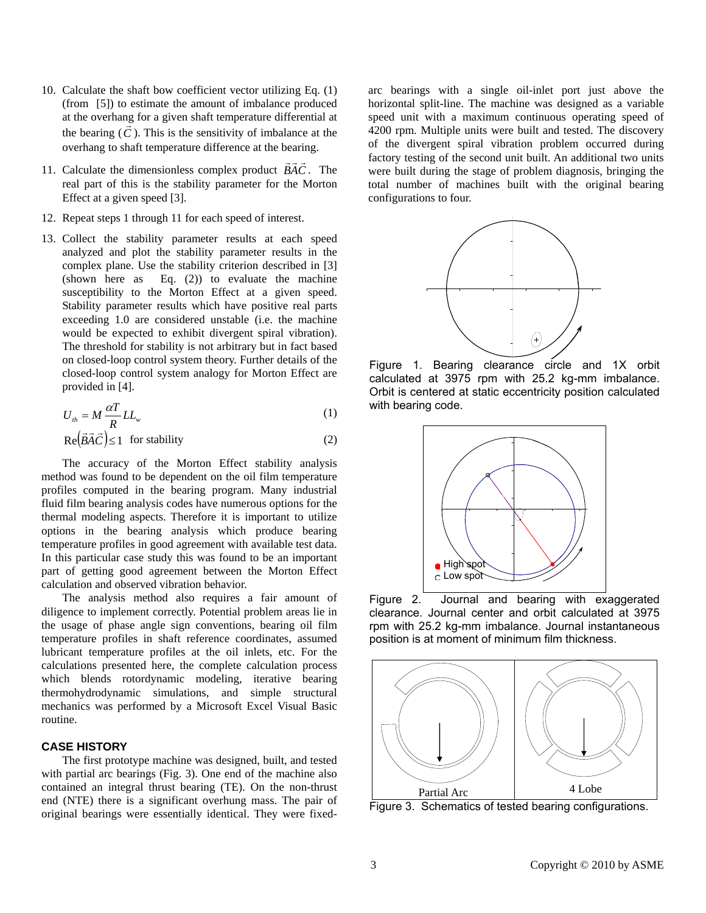- 10. Calculate the shaft bow coefficient vector utilizing Eq. (1) (from [[5](#page-12-4)]) to estimate the amount of imbalance produced at the overhang for a given shaft temperature differential at the bearing  $(\vec{C})$ . This is the sensitivity of imbalance at the overhang to shaft temperature difference at the bearing.
- 11. Calculate the dimensionless complex product  $\vec{B} \vec{A} \vec{C}$ . The real part of this is the stability parameter for the Morton Effect at a given speed [\[3](#page-12-2)].
- 12. Repeat steps 1 through 11 for each speed of interest.
- 13. Collect the stability parameter results at each speed analyzed and plot the stability parameter results in the complex plane. Use the stability criterion described in [\[3](#page-12-2)] (shown here as Eq. (2)) to evaluate the machine susceptibility to the Morton Effect at a given speed. Stability parameter results which have positive real parts exceeding 1.0 are considered unstable (i.e. the machine would be expected to exhibit divergent spiral vibration). The threshold for stability is not arbitrary but in fact based on closed-loop control system theory. Further details of the closed-loop control system analogy for Morton Effect are provided in [[4](#page-12-3)].

<span id="page-2-0"></span>
$$
U_{th} = M \frac{\alpha T}{R} L L_w \tag{1}
$$

$$
Re(\vec{B}\vec{A}\vec{C}) \le 1 \text{ for stability}
$$
 (2)

The accuracy of the Morton Effect stability analysis method was found to be dependent on the oil film temperature profiles computed in the bearing program. Many industrial fluid film bearing analysis codes have numerous options for the thermal modeling aspects. Therefore it is important to utilize options in the bearing analysis which produce bearing temperature profiles in good agreement with available test data. In this particular case study this was found to be an important part of getting good agreement between the Morton Effect calculation and observed vibration behavior.

<span id="page-2-1"></span>The analysis method also requires a fair amount of diligence to implement correctly. Potential problem areas lie in the usage of phase angle sign conventions, bearing oil film temperature profiles in shaft reference coordinates, assumed lubricant temperature profiles at the oil inlets, etc. For the calculations presented here, the complete calculation process which blends rotordynamic modeling, iterative bearing thermohydrodynamic simulations, and simple structural mechanics was performed by a Microsoft Excel Visual Basic routine.

## **CASE HISTORY**

<span id="page-2-2"></span>The first prototype machine was designed, built, and tested with partial arc bearings (Fig. [3\)](#page-2-2). One end of the machine also contained an integral thrust bearing (TE). On the non-thrust end (NTE) there is a significant overhung mass. The pair of original bearings were essentially identical. They were fixedarc bearings with a single oil-inlet port just above the horizontal split-line. The machine was designed as a variable speed unit with a maximum continuous operating speed of 4200 rpm. Multiple units were built and tested. The discovery of the divergent spiral vibration problem occurred during factory testing of the second unit built. An additional two units were built during the stage of problem diagnosis, bringing the total number of machines built with the original bearing configurations to four.



Figure 1. Bearing clearance circle and 1X orbit calculated at 3975 rpm with 25.2 kg-mm imbalance. Orbit is centered at static eccentricity position calculated with bearing code.



Figure 2. Journal and bearing with exaggerated clearance. Journal center and orbit calculated at 3975 rpm with 25.2 kg-mm imbalance. Journal instantaneous position is at moment of minimum film thickness.



Figure 3. Schematics of tested bearing configurations.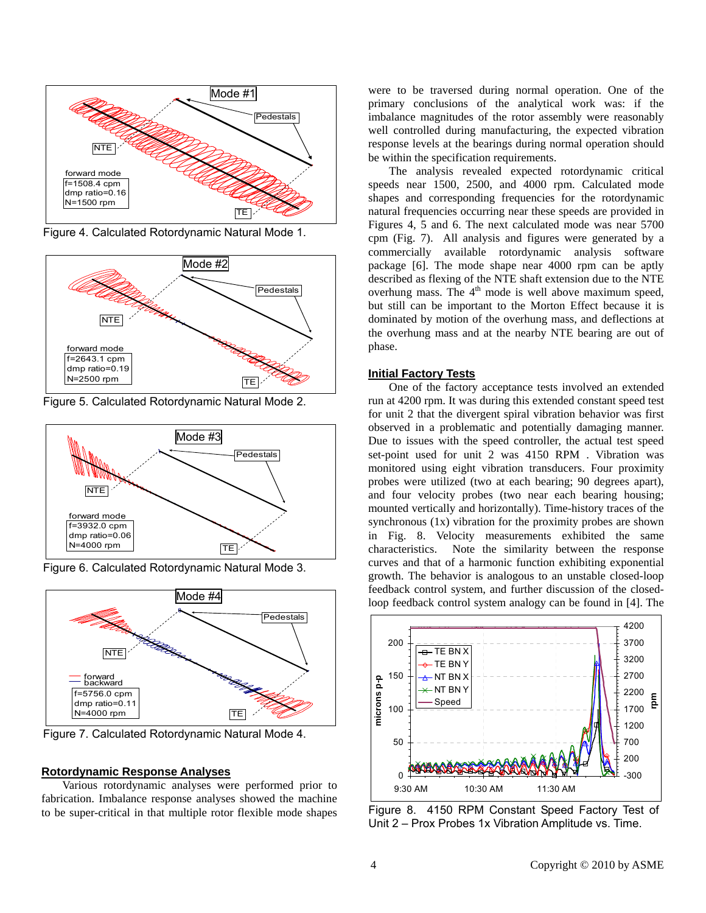

<span id="page-3-0"></span>Figure 4. Calculated Rotordynamic Natural Mode 1.



<span id="page-3-1"></span>Figure 5. Calculated Rotordynamic Natural Mode 2.



Figure 6. Calculated Rotordynamic Natural Mode 3.

<span id="page-3-2"></span>

<span id="page-3-3"></span>Figure 7. Calculated Rotordynamic Natural Mode 4.

#### **Rotordynamic Response Analyses**

<span id="page-3-4"></span>Various rotordynamic analyses were performed prior to fabrication. Imbalance response analyses showed the machine to be super-critical in that multiple rotor flexible mode shapes

were to be traversed during normal operation. One of the primary conclusions of the analytical work was: if the imbalance magnitudes of the rotor assembly were reasonably well controlled during manufacturing, the expected vibration response levels at the bearings during normal operation should be within the specification requirements.

The analysis revealed expected rotordynamic critical speeds near 1500, 2500, and 4000 rpm. Calculated mode shapes and corresponding frequencies for the rotordynamic natural frequencies occurring near these speeds are provided in Figures [4,](#page-3-0) [5](#page-3-1) and [6.](#page-3-2) The next calculated mode was near 5700 cpm (Fig. [7\)](#page-3-3). All analysis and figures were generated by a commercially available rotordynamic analysis software package [[6](#page-12-5)]. The mode shape near 4000 rpm can be aptly described as flexing of the NTE shaft extension due to the NTE overhung mass. The  $4<sup>th</sup>$  mode is well above maximum speed, but still can be important to the Morton Effect because it is dominated by motion of the overhung mass, and deflections at the overhung mass and at the nearby NTE bearing are out of phase.

# **Initial Factory Tests**

One of the factory acceptance tests involved an extended run at 4200 rpm. It was during this extended constant speed test for unit 2 that the divergent spiral vibration behavior was first observed in a problematic and potentially damaging manner. Due to issues with the speed controller, the actual test speed set-point used for unit 2 was 4150 RPM . Vibration was monitored using eight vibration transducers. Four proximity probes were utilized (two at each bearing; 90 degrees apart), and four velocity probes (two near each bearing housing; mounted vertically and horizontally). Time-history traces of the synchronous (1x) vibration for the proximity probes are shown in Fig. [8.](#page-3-4) Velocity measurements exhibited the same characteristics. Note the similarity between the response curves and that of a harmonic function exhibiting exponential growth. The behavior is analogous to an unstable closed-loop feedback control system, and further discussion of the closedloop feedback control system analogy can be found in [[4\]](#page-12-3). The



Figure 8. 4150 RPM Constant Speed Factory Test of Unit 2 – Prox Probes 1x Vibration Amplitude vs. Time.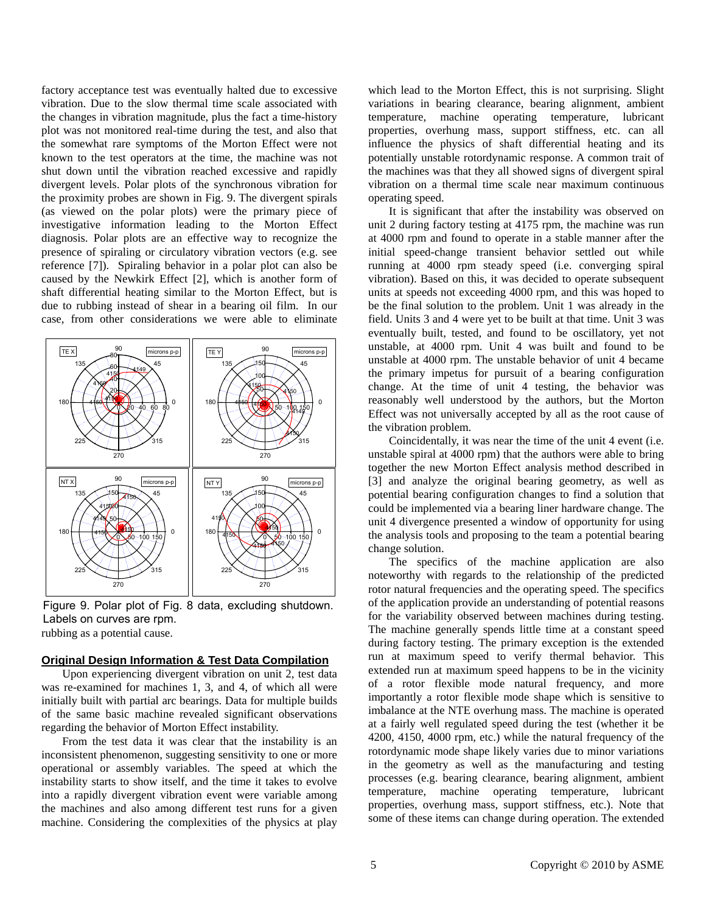factory acceptance test was eventually halted due to excessive vibration. Due to the slow thermal time scale associated with the changes in vibration magnitude, plus the fact a time-history plot was not monitored real-time during the test, and also that the somewhat rare symptoms of the Morton Effect were not known to the test operators at the time, the machine was not shut down until the vibration reached excessive and rapidly divergent levels. Polar plots of the synchronous vibration for the proximity probes are shown in Fig. [9](#page-4-0). The divergent spirals (as viewed on the polar plots) were the primary piece of investigative information leading to the Morton Effect diagnosis. Polar plots are an effective way to recognize the presence of spiraling or circulatory vibration vectors (e.g. see reference [[7\]](#page-12-6)). Spiraling behavior in a polar plot can also be caused by the Newkirk Effect [[2\]](#page-12-1), which is another form of shaft differential heating similar to the Morton Effect, but is due to rubbing instead of shear in a bearing oil film. In our case, from other considerations we were able to eliminate



<span id="page-4-0"></span>rubbing as a potential cause. Figure 9. Polar plot of Fig. [8](#page-3-4) data, excluding shutdown. Labels on curves are rpm.

#### **Original Design Information & Test Data Compilation**

Upon experiencing divergent vibration on unit 2, test data was re-examined for machines 1, 3, and 4, of which all were initially built with partial arc bearings. Data for multiple builds of the same basic machine revealed significant observations regarding the behavior of Morton Effect instability.

From the test data it was clear that the instability is an inconsistent phenomenon, suggesting sensitivity to one or more operational or assembly variables. The speed at which the instability starts to show itself, and the time it takes to evolve into a rapidly divergent vibration event were variable among the machines and also among different test runs for a given machine. Considering the complexities of the physics at play which lead to the Morton Effect, this is not surprising. Slight variations in bearing clearance, bearing alignment, ambient temperature, machine operating temperature, lubricant properties, overhung mass, support stiffness, etc. can all influence the physics of shaft differential heating and its potentially unstable rotordynamic response. A common trait of the machines was that they all showed signs of divergent spiral vibration on a thermal time scale near maximum continuous operating speed.

It is significant that after the instability was observed on unit 2 during factory testing at 4175 rpm, the machine was run at 4000 rpm and found to operate in a stable manner after the initial speed-change transient behavior settled out while running at 4000 rpm steady speed (i.e. converging spiral vibration). Based on this, it was decided to operate subsequent units at speeds not exceeding 4000 rpm, and this was hoped to be the final solution to the problem. Unit 1 was already in the field. Units 3 and 4 were yet to be built at that time. Unit 3 was eventually built, tested, and found to be oscillatory, yet not unstable, at 4000 rpm. Unit 4 was built and found to be unstable at 4000 rpm. The unstable behavior of unit 4 became the primary impetus for pursuit of a bearing configuration change. At the time of unit 4 testing, the behavior was reasonably well understood by the authors, but the Morton Effect was not universally accepted by all as the root cause of the vibration problem.

Coincidentally, it was near the time of the unit 4 event (i.e. unstable spiral at 4000 rpm) that the authors were able to bring together the new Morton Effect analysis method described in [[3\]](#page-12-2) and analyze the original bearing geometry, as well as potential bearing configuration changes to find a solution that could be implemented via a bearing liner hardware change. The unit 4 divergence presented a window of opportunity for using the analysis tools and proposing to the team a potential bearing change solution.

The specifics of the machine application are also noteworthy with regards to the relationship of the predicted rotor natural frequencies and the operating speed. The specifics of the application provide an understanding of potential reasons for the variability observed between machines during testing. The machine generally spends little time at a constant speed during factory testing. The primary exception is the extended run at maximum speed to verify thermal behavior. This extended run at maximum speed happens to be in the vicinity of a rotor flexible mode natural frequency, and more importantly a rotor flexible mode shape which is sensitive to imbalance at the NTE overhung mass. The machine is operated at a fairly well regulated speed during the test (whether it be 4200, 4150, 4000 rpm, etc.) while the natural frequency of the rotordynamic mode shape likely varies due to minor variations in the geometry as well as the manufacturing and testing processes (e.g. bearing clearance, bearing alignment, ambient temperature, machine operating temperature, lubricant properties, overhung mass, support stiffness, etc.). Note that some of these items can change during operation. The extended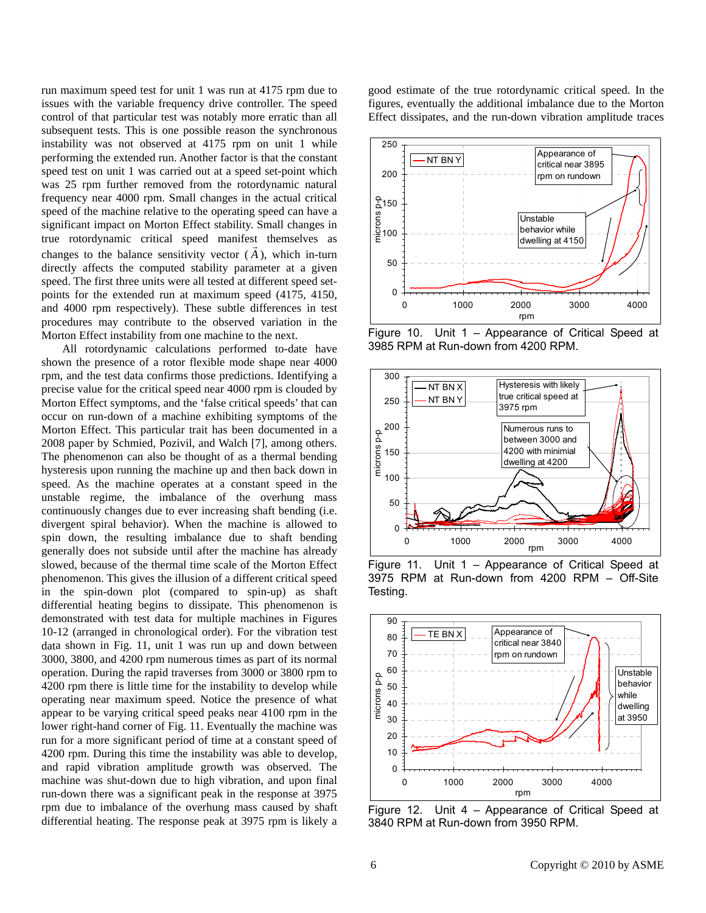run maximum speed test for unit 1 was run at 4175 rpm due to issues with the variable frequency drive controller. The speed control of that particular test was notably more erratic than all subsequent tests. This is one possible reason the synchronous instability was not observed at 4175 rpm on unit 1 while performing the extended run. Another factor is that the constant speed test on unit 1 was carried out at a speed set-point which was 25 rpm further removed from the rotordynamic natural frequency near 4000 rpm. Small changes in the actual critical speed of the machine relative to the operating speed can have a significant impact on Morton Effect stability. Small changes in true rotordynamic critical speed manifest themselves as changes to the balance sensitivity vector  $(\vec{A})$ , which in-turn directly affects the computed stability parameter at a given speed. The first three units were all tested at different speed setpoints for the extended run at maximum speed (4175, 4150, and 4000 rpm respectively). These subtle differences in test procedures may contribute to the observed variation in the Morton Effect instability from one machine to the next.

<span id="page-5-2"></span><span id="page-5-0"></span>All rotordynamic calculations performed to-date have shown the presence of a rotor flexible mode shape near 4000 rpm, and the test data confirms those predictions. Identifying a precise value for the critical speed near 4000 rpm is clouded by Morton Effect symptoms, and the 'false critical speeds' that can occur on run-down of a machine exhibiting symptoms of the Morton Effect. This particular trait has been documented in a 2008 paper by Schmied, Pozivil, and Walch [\[7](#page-12-6)], among others. The phenomenon can also be thought of as a thermal bending hysteresis upon running the machine up and then back down in speed. As the machine operates at a constant speed in the unstable regime, the imbalance of the overhung mass continuously changes due to ever increasing shaft bending (i.e. divergent spiral behavior). When the machine is allowed to spin down, the resulting imbalance due to shaft bending generally does not subside until after the machine has already slowed, because of the thermal time scale of the Morton Effect phenomenon. This gives the illusion of a different critical speed in the spin-down plot (compared to spin-up) as shaft differential heating begins to dissipate. This phenomenon is demonstrated with test data for multiple machines in Figures [10](#page-5-0)[-12](#page-5-1) (arranged in chronological order). For the vibration test data shown in Fig. [11](#page-5-2), unit 1 was run up and down between 3000, 3800, and 4200 rpm numerous times as part of its normal operation. During the rapid traverses from 3000 or 3800 rpm to 4200 rpm there is little time for the instability to develop while operating near maximum speed. Notice the presence of what appear to be varying critical speed peaks near 4100 rpm in the lower right-hand corner of Fig. [11](#page-5-2). Eventually the machine was run for a more significant period of time at a constant speed of 4200 rpm. During this time the instability was able to develop, and rapid vibration amplitude growth was observed. The machine was shut-down due to high vibration, and upon final run-down there was a significant peak in the response at 3975 rpm due to imbalance of the overhung mass caused by shaft differential heating. The response peak at 3975 rpm is likely a

good estimate of the true rotordynamic critical speed. In the figures, eventually the additional imbalance due to the Morton Effect dissipates, and the run-down vibration amplitude traces



Figure 10. Unit 1 – Appearance of Critical Speed at 3985 RPM at Run-down from 4200 RPM.



Figure 11. Unit 1 – Appearance of Critical Speed at 3975 RPM at Run-down from 4200 RPM – Off-Site Testing.



<span id="page-5-1"></span>Figure 12. Unit 4 – Appearance of Critical Speed at 3840 RPM at Run-down from 3950 RPM.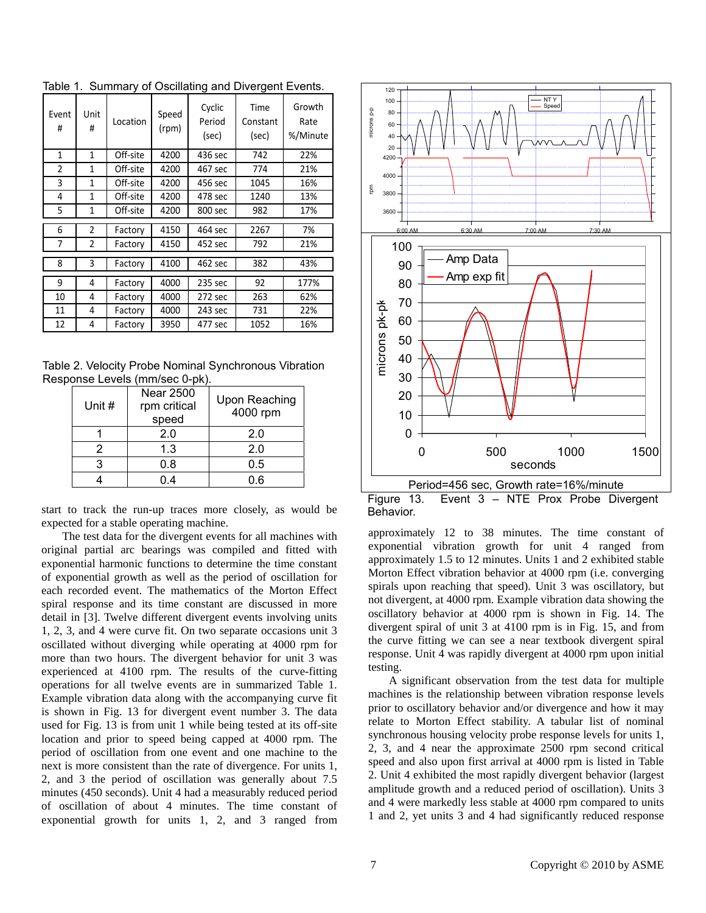<span id="page-6-0"></span>

| Event<br>#     | Unit<br>#      | Location | Speed<br>(rpm) | Cyclic<br>Period<br>(sec) | Time<br>Constant<br>(sec) | Growth<br>Rate<br>%/Minute |
|----------------|----------------|----------|----------------|---------------------------|---------------------------|----------------------------|
| 1              | 1              | Off-site | 4200           | 436 sec                   | 742                       | 22%                        |
| $\overline{2}$ | $\mathbf{1}$   | Off-site | 4200           | 467 sec                   | 774                       | 21%                        |
| 3              | $\mathbf{1}$   | Off-site | 4200           | 456 sec                   | 1045                      | 16%                        |
| 4              | 1              | Off-site | 4200           | 478 sec                   | 1240                      | 13%                        |
| 5              | 1              | Off-site | 4200           | 800 sec                   | 982                       | 17%                        |
| 6              | $\overline{2}$ | Factory  | 4150           | 464 sec                   | 2267                      | 7%                         |
| 7              | 2              | Factory  | 4150           | 452 sec                   | 792                       | 21%                        |
| 8              | 3              | Factory  | 4100           | 462 sec                   | 382                       | 43%                        |
| 9              | 4              | Factory  | 4000           | 235 sec                   | 92                        | 177%                       |
| 10             | 4              | Factory  | 4000           | 272 sec                   | 263                       | 62%                        |
| 11             | 4              | Factory  | 4000           | 243 sec                   | 731                       | 22%                        |
| 12             | 4              | Factory  | 3950           | 477 sec                   | 1052                      | 16%                        |

Table 1. Summary of Oscillating and Divergent Events.

<span id="page-6-2"></span>Table 2. Velocity Probe Nominal Sy nchronous Vibration Response Levels (mm/sec 0-pk).

| Unit # | <b>Near 2500</b><br>rpm critical<br>speed | Upon Reaching<br>4000 rpm |
|--------|-------------------------------------------|---------------------------|
|        | 2.0                                       | 2.0                       |
|        | 1.3                                       | 2.0                       |
| ົ      | 0.8                                       | 0.5                       |
|        | 14                                        | ነ 6                       |

<span id="page-6-1"></span>start to track the run-up traces more closely, as would be expected for a stable operating machine.

The test data for the divergent events for all machines with original partial arc bearings was compiled and fitted with exponential harmonic functions to determine the time constant of exponential growth as well as the period of oscillation for each recorded event. The mathematics of the Morton Effect spiral response and its time constant are discussed in more detail in [\[3](#page-12-2)]. Twelve different divergent events involving units 1, 2, 3, and 4 were curve fit. On two separate occasions unit 3 oscillated without diverging while operating at 4000 rpm for more than two hours. The divergent behavior for unit 3 was experienced at 4100 rpm. The results of the curve-fitting operations for all twelve events are in summarized [Table 1](#page-6-0). Example vibration data along with the accompanying curve fit is shown in Fig. [13](#page-6-1) for divergent event number 3. The data used for Fig. [13](#page-6-1) is from unit 1 while being tested at its off-site location and prior to speed being capped at 4000 rpm. The period of oscillation from one event and one machine to the next is more consistent than the rate of divergence. For units 1, 2, and 3 the period of oscillation was generally about 7.5 minutes (450 seconds). Unit 4 had a measurably reduced period of oscillation of about 4 minutes. The time constant of exponential growth for units 1, 2, and 3 ranged from



Figure 13. Event 3 – NTE Prox Probe Divergent Behavior.

approximately 12 to 38 minutes. The time constant of exponential vibration growth for unit 4 ranged from approximately 1.5 to 12 minutes. Units 1 and 2 exhibited stable Morton Effect vibration behavior at 4000 rpm (i.e. converging spirals upon reaching that speed). Unit 3 was oscillatory, but not divergent, at 4000 rpm. Example vibration data showing the oscillatory behavior at 4000 rpm is shown in Fig. [14.](#page-7-0) The divergent spiral of unit 3 at 4100 rpm is in Fig. [15](#page-7-1), and from the curve fitting we can see a near textbook divergent spiral response. Unit 4 was rapidly divergent at 4000 rpm upon initial testing.

A significant observation from the test data for multiple machines is the relationship between vibration response levels prior to oscillatory behavior and/or divergence and how it may relate to Morton Effect stability. A tabular list of nominal synchronous housing velocity probe response levels for units 1, 2, 3, and 4 near the approximate 2500 rpm second critical speed and also upon first arrival at 4000 rpm is listed in [Table](#page-6-2)  [2.](#page-6-2) Unit 4 exhibited the most rapidly divergent behavior (largest amplitude growth and a reduced period of oscillation). Units 3 and 4 were markedly less stable at 4000 rpm compared to units 1 and 2, yet units 3 and 4 had significantly reduced response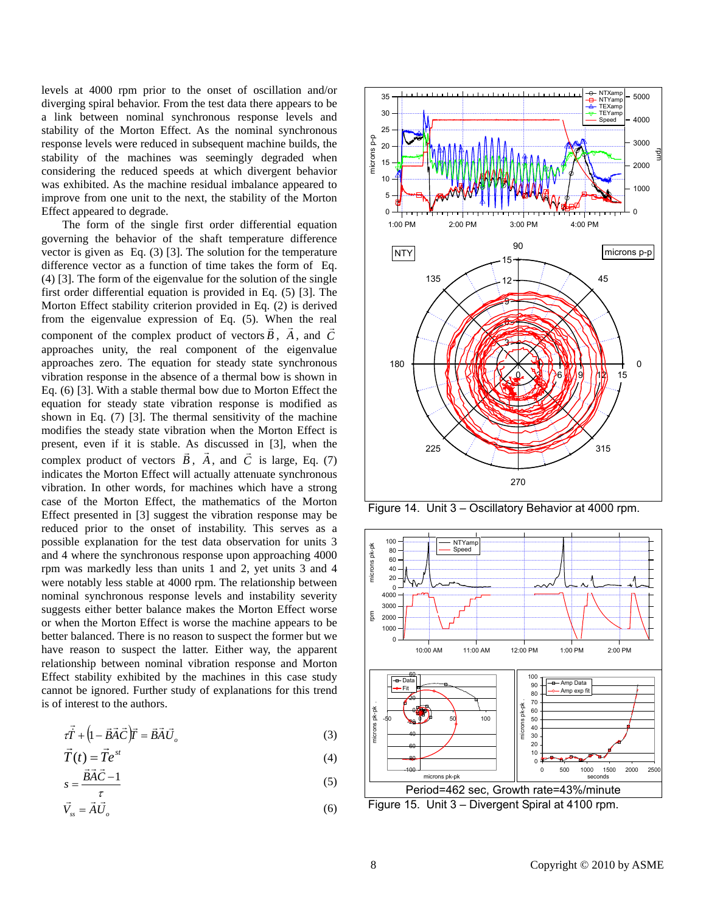levels at 4000 rpm prior to the onset of oscillation and/or diverging spiral behavior. From the test data there appears to be a link between nominal synchronous response levels and stability of the Morton Effect. As the nominal synchronous response levels were reduced in subsequent machine builds, the stability of the machines was seemingly degraded when considering the reduced speeds at which divergent behavior was exhibited. As the machine residual imbalance appeared to improve from one unit to the next, the stability of the Morton Effect appeared to degrade.

The form of the single first order differential equation governing the behavior of the shaft temperature difference vector is given as Eq. (3) [[3\]](#page-12-2). The solution for the temperature difference vector as a function of time takes the form of Eq. (4) [[3\]](#page-12-2). The form of the eigenvalue for the solution of the single first order differential equation is provided in Eq. (5) [[3\]](#page-12-2). The Morton Effect stability criterion provided in Eq. (2) is derived from the eigenvalue expression of Eq. (5). When the real component of the complex product of vectors  $\vec{B}$ ,  $\vec{A}$ , and  $\vec{C}$ approaches unity, the real component of the eigenvalue approaches zero. The equation for steady state synchronous vibration response in the absence of a thermal bow is shown in Eq. (6) [\[3](#page-12-2)]. With a stable thermal bow due to Morton Effect the equation for steady state vibration response is modified as shown in Eq. (7) [\[3](#page-12-2)]. The thermal sensitivity of the machine modifies the steady state vibration when the Morton Effect is present, even if it is stable. As discussed in [\[3](#page-12-2)], when the complex product of vectors  $\vec{B}$ ,  $\vec{A}$ , and  $\vec{C}$  is large, Eq. (7) indicates the Morton Effect will actually attenuate synchronous vibration. In other words, for machines which have a strong case of the Morton Effect, the mathematics of the Morton Effect presented in [\[3](#page-12-2)] suggest the vibration response may be reduced prior to the onset of instability. This serves as a possible explanation for the test data observation for units 3 and 4 where the synchronous response upon approaching 4000 rpm was markedly less than units 1 and 2, yet units 3 and 4 were notably less stable at 4000 rpm. The relationship between nominal synchronous response levels and instability severity suggests either better balance makes the Morton Effect worse or when the Morton Effect is worse the machine appears to be better balanced. There is no reason to suspect the former but we have reason to suspect the latter. Either way, the apparent relationship between nominal vibration response and Morton Effect stability exhibited by the machines in this case study cannot be ignored. Further study of explanations for this trend is of interest to the authors.

<span id="page-7-0"></span>
$$
\vec{t}\vec{T} + (1 - \vec{B}\vec{A}\vec{C})\vec{T} = \vec{B}\vec{A}\vec{U}_o
$$
\n(3)

$$
\vec{T}(t) = \vec{T}e^{st} \tag{4}
$$

$$
s = \frac{\vec{B}\vec{A}\vec{C} - 1}{\tau} \tag{5}
$$

<span id="page-7-1"></span>
$$
\vec{V}_{ss} = \vec{A}\vec{U}_o \tag{6}
$$



Figure 14. Unit 3 – Oscillatory Behavior at 4000 rpm.



$$
8 \\
$$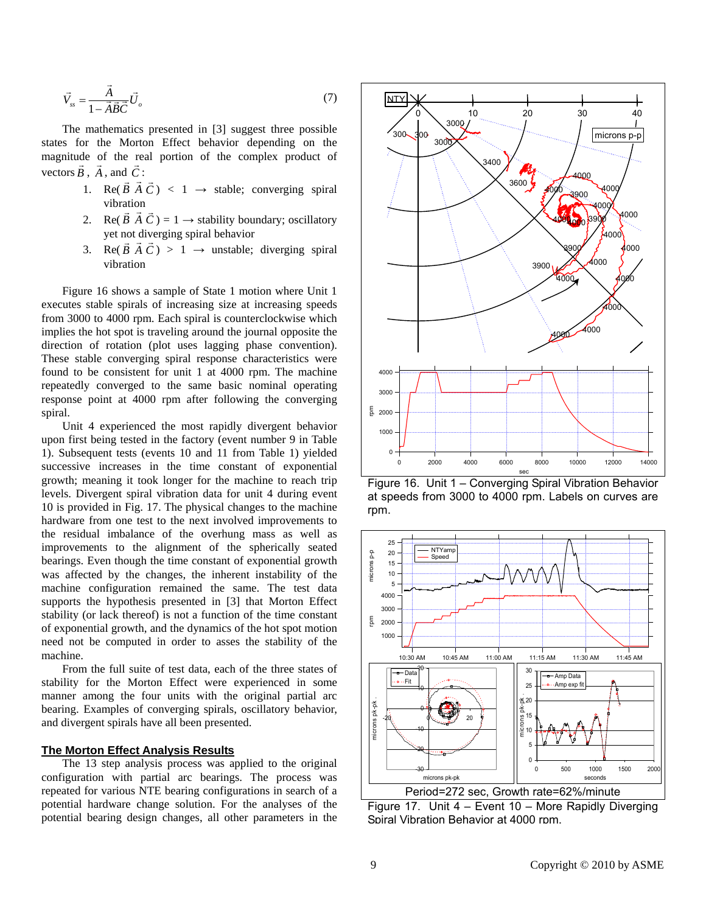$$
\vec{V}_{ss} = \frac{\vec{A}}{1 - \vec{A}\vec{B}\vec{C}}\vec{U}_o
$$
\n(7)

The mathematics presented in [[3\]](#page-12-2) suggest three possible states for the Morton Effect behavior depending on the magnitude of the real portion of the complex product of vectors  $\vec{B}$ ,  $\vec{A}$ , and  $\vec{C}$ :

- 1. Re( $\vec{B} \ \vec{A} \ \vec{C}$ ) < 1  $\rightarrow$  stable; converging spiral vibration
- 2. Re( $\vec{B} \ \vec{A} \ \vec{C}$ ) = 1  $\rightarrow$  stability boundary; oscillatory yet not diverging spiral behavior
- 3. Re( $\vec{B} \ \vec{A} \ \vec{C}$ ) > 1  $\rightarrow$  unstable; diverging spiral vibration

Figure [16](#page-8-0) shows a sample of State 1 motion where Unit 1 executes stable spirals of increasing size at increasing speeds from 3000 to 4000 rpm. Each spiral is counterclockwise which implies the hot spot is traveling around the journal opposite the direction of rotation (plot uses lagging phase convention). These stable converging spiral response characteristics were found to be consistent for unit 1 at 4000 rpm. The machine repeatedly converged to the same basic nominal operating response point at 4000 rpm after following the converging spiral.

<span id="page-8-0"></span>Unit 4 experienced the most rapidly divergent behavior upon first being tested in the factory (event number 9 in [Table](#page-6-0)  [1](#page-6-0)). Subsequent tests (events 10 and 11 from [Table 1](#page-6-0)) yielded successive increases in the time constant of exponential growth; meaning it took longer for the machine to reach trip levels. Divergent spiral vibration data for unit 4 during event 10 is provided in Fig. [17](#page-8-1). The physical changes to the machine hardware from one test to the next involved improvements to the residual imbalance of the overhung mass as well as improvements to the alignment of the spherically seated bearings. Even though the time constant of exponential growth was affected by the changes, the inherent instability of the machine configuration remained the same. The test data supports the hypothesis presented in [[3\]](#page-12-2) that Morton Effect stability (or lack thereof) is not a function of the time constant of exponential growth, and the dynamics of the hot spot motion need not be computed in order to asses the stability of the machine.

From the full suite of test data, each of the three states of stability for the Morton Effect were experienced in some manner among the four units with the original partial arc bearing. Examples of converging spirals, oscillatory behavior, and divergent spirals have all been presented.

# **The Morton Effect Analysis Results**

<span id="page-8-1"></span>The 13 step analysis process was applied to the original configuration with partial arc bearings. The process was repeated for various NTE bearing configurations in search of a potential hardware change solution. For the analyses of the potential bearing design changes, all other parameters in the



Figure 16. Unit 1 – Converging Spiral Vibration Behavior at speeds from 3000 to 4000 rpm. Labels on curves are rpm.



Figure 17. Unit 4 – Event 10 – More Rapidly Diverging Spiral Vibration Behavior at 4000 rpm.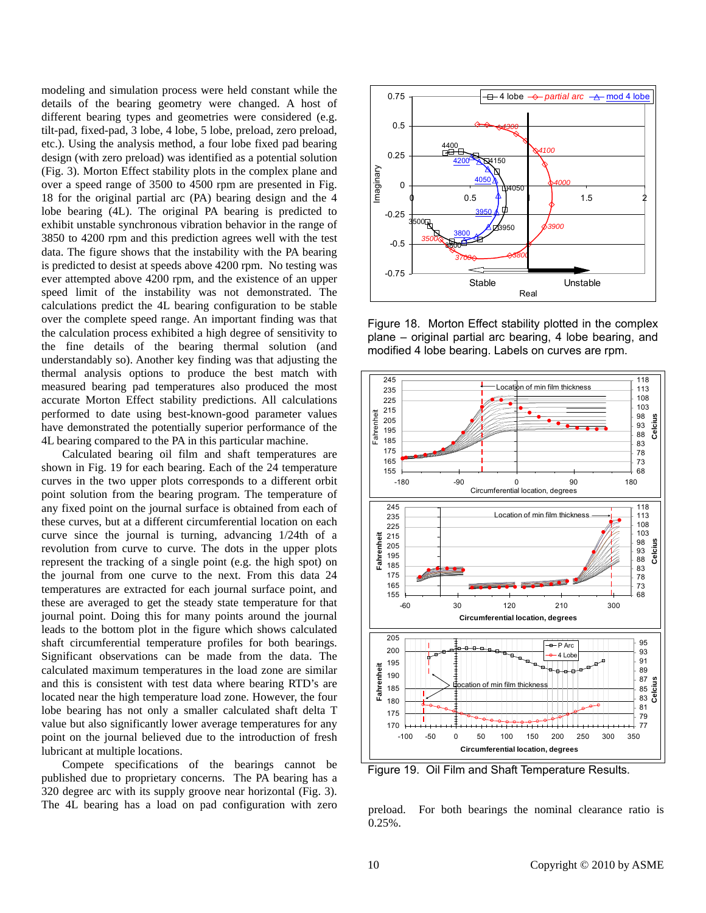modeling and simulation process were held constant while the details of the bearing geometry were changed. A host of different bearing types and geometries were considered (e.g. tilt-pad, fixed-pad, 3 lobe, 4 lobe, 5 lobe, preload, zero preload, etc.). Using the analysis method, a four lobe fixed pad bearing design (with zero preload) was identified as a potential solution (Fig. [3](#page-2-2)). Morton Effect stability plots in the complex plane and over a speed range of 3500 to 4500 rpm are presented in Fig. [18](#page-9-0) for the original partial arc (PA) bearing design and the 4 lobe bearing (4L). The original PA bearing is predicted to exhibit unstable synchronous vibration behavior in the range of 3850 to 4200 rpm and this prediction agrees well with the test data. The figure shows that the instability with the PA bearing is predicted to desist at speeds above 4200 rpm. No testing was ever attempted above 4200 rpm, and the existence of an upper speed limit of the instability was not demonstrated. The calculations predict the 4L bearing configuration to be stable over the complete speed range. An important finding was that the calculation process exhibited a high degree of sensitivity to the fine details of the bearing thermal solution (and understandably so). Another key finding was that adjusting the thermal analysis options to produce the best match with measured bearing pad temperatures also produced the most accurate Morton Effect stability predictions. All calculations performed to date using best-known-good parameter values have demonstrated the potentially superior performance of the 4L bearing compared to the PA in this particular machine.

<span id="page-9-0"></span>Calculated bearing oil film and shaft temperatures are shown in Fig. [19](#page-9-1) for each bearing. Each of the 24 temperature curves in the two upper plots corresponds to a different orbit point solution from the bearing program. The temperature of any fixed point on the journal surface is obtained from each of these curves, but at a different circumferential location on each curve since the journal is turning, advancing 1/24th of a revolution from curve to curve. The dots in the upper plots represent the tracking of a single point (e.g. the high spot) on the journal from one curve to the next. From this data 24 temperatures are extracted for each journal surface point, and these are averaged to get the steady state temperature for that journal point. Doing this for many points around the journal leads to the bottom plot in the figure which shows calculated shaft circumferential temperature profiles for both bearings. Significant observations can be made from the data. The calculated maximum temperatures in the load zone are similar and this is consistent with test data where bearing RTD's are located near the high temperature load zone. However, the four lobe bearing has not only a smaller calculated shaft delta T value but also significantly lower average temperatures for any point on the journal believed due to the introduction of fresh lubricant at multiple locations.

<span id="page-9-1"></span>Compete specifications of the bearings cannot be published due to proprietary concerns. The PA bearing has a 320 degree arc with its supply groove near horizontal (Fig. [3\)](#page-2-2). The 4L bearing has a load on pad configuration with zero preload. For both bearings the nominal clearance ratio is



Figure 18. Morton Effect stability plotted in the complex plane – original partial arc bearing, 4 lobe bearing, and modified 4 lobe bearing. Labels on curves are rpm.



Figure 19. Oil Film and Shaft Temperature Results.

 $0.25%$ .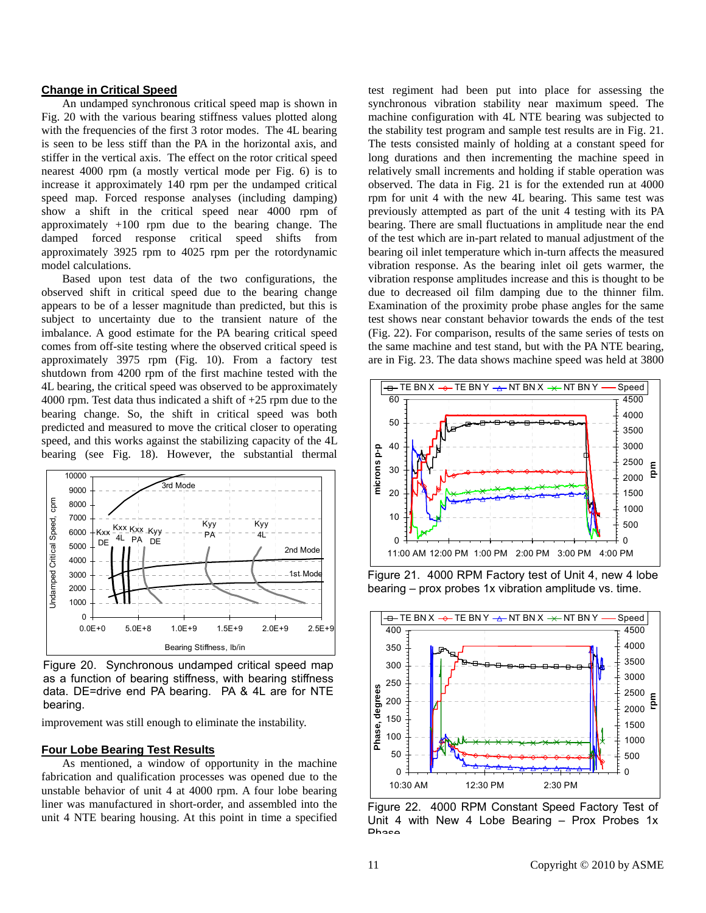## **Change in Critical Speed**

An undamped synchronous critical speed map is shown in Fig. [20](#page-10-0) with the various bearing stiffness values plotted along with the frequencies of the first 3 rotor modes. The 4L bearing is seen to be less stiff than the PA in the horizontal axis, and stiffer in the vertical axis. The effect on the rotor critical speed nearest 4000 rpm (a mostly vertical mode per Fig. [6](#page-3-2)) is to increase it approximately 140 rpm per the undamped critical speed map. Forced response analyses (including damping) show a shift in the critical speed near 4000 rpm of approximately +100 rpm due to the bearing change. The damped forced response critical speed shifts from approximately 3925 rpm to 4025 rpm per the rotordynamic model calculations.

<span id="page-10-0"></span>Based upon test data of the two configurations, the observed shift in critical speed due to the bearing change appears to be of a lesser magnitude than predicted, but this is subject to uncertainty due to the transient nature of the imbalance. A good estimate for the PA bearing critical speed comes from off-site testing where the observed critical speed is approximately 3975 rpm (Fig. [10\)](#page-5-0). From a factory test shutdown from 4200 rpm of the first machine tested with the 4L bearing, the critical speed was observed to be approximately 4000 rpm. Test data thus indicated a shift of +25 rpm due to the bearing change. So, the shift in critical speed was both predicted and measured to move the critical closer to operating speed, and this works against the stabilizing capacity of the 4L bearing (see Fig. [18](#page-9-0)). However, the substantial thermal



<span id="page-10-1"></span>Figure 20. Synchronous undamped critical speed map as a function of bearing stiffness, with bearing stiffness data. DE=drive end PA bearing. PA & 4L are for NTE bearing.

improvement was still enough to eliminate the instability.

#### **Four Lobe Bearing Test Results**

<span id="page-10-2"></span>As mentioned, a window of opportunity in the machine fabrication and qualification processes was opened due to the unstable behavior of unit 4 at 4000 rpm. A four lobe bearing liner was manufactured in short-order, and assembled into the unit 4 NTE bearing housing. At this point in time a specified

test regiment had been put into place for assessing the synchronous vibration stability near maximum speed. The machine configuration with 4L NTE bearing was subjected to the stability test program and sample test results are in Fig. [21](#page-10-1). The tests consisted mainly of holding at a constant speed for long durations and then incrementing the machine speed in relatively small increments and holding if stable operation was observed. The data in Fig. [21](#page-10-1) is for the extended run at 4000 rpm for unit 4 with the new 4L bearing. This same test was previously attempted as part of the unit 4 testing with its PA bearing. There are small fluctuations in amplitude near the end of the test which are in-part related to manual adjustment of the bearing oil inlet temperature which in-turn affects the measured vibration response. As the bearing inlet oil gets warmer, the vibration response amplitudes increase and this is thought to be due to decreased oil film damping due to the thinner film. Examination of the proximity probe phase angles for the same test shows near constant behavior towards the ends of the test (Fig. [22\)](#page-10-2). For comparison, results of the same series of tests on the same machine and test stand, but with the PA NTE bearing, are in Fig. [23.](#page-11-0) The data shows machine speed was held at 3800



Figure 21. 4000 RPM Factory test of Unit 4, new 4 lobe bearing – prox probes 1x vibration amplitude vs. time.



Figure 22. 4000 RPM Constant Speed Factory Test of Unit 4 with New 4 Lobe Bearing – Prox Probes 1x Phase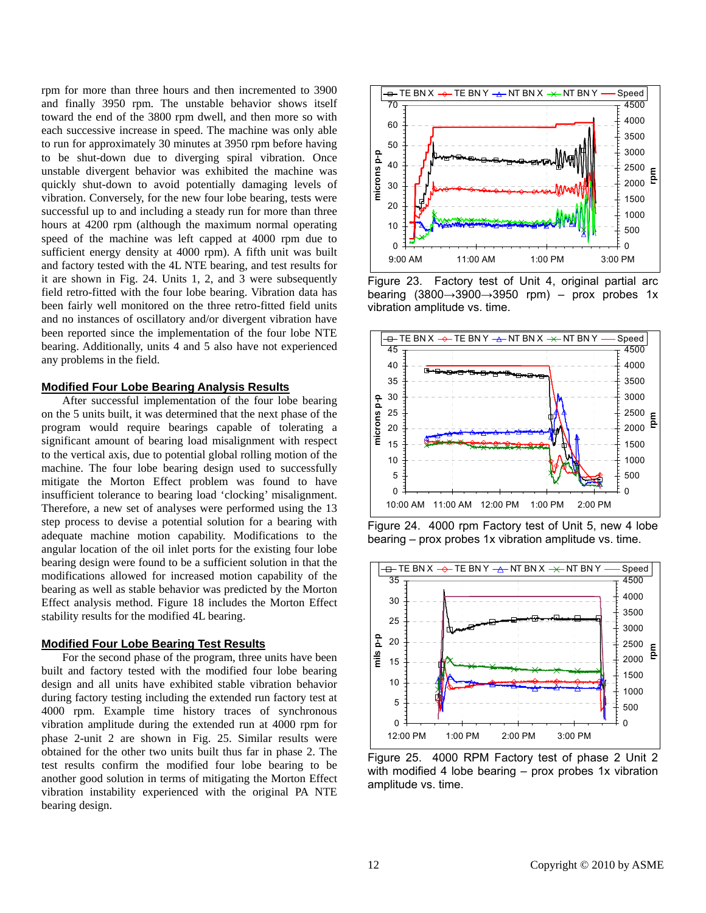rpm for more than three hours and then incremented to 3900 and finally 3950 rpm. The unstable behavior shows itself toward the end of the 3800 rpm dwell, and then more so with each successive increase in speed. The machine was only able to run for approximately 30 minutes at 3950 rpm before having to be shut-down due to diverging spiral vibration. Once unstable divergent behavior was exhibited the machine was quickly shut-down to avoid potentially damaging levels of vibration. Conversely, for the new four lobe bearing, tests were successful up to and including a steady run for more than three hours at 4200 rpm (although the maximum normal operating speed of the machine was left capped at 4000 rpm due to sufficient energy density at 4000 rpm). A fifth unit was built and factory tested with the 4L NTE bearing, and test results for it are shown in Fig. [24.](#page-11-1) Units 1, 2, and 3 were subsequently field retro-fitted with the four lobe bearing. Vibration data has been fairly well monitored on the three retro-fitted field units and no instances of oscillatory and/or divergent vibration have been reported since the implementation of the four lobe NTE bearing. Additionally, units 4 and 5 also have not experienced any problems in the field.

#### <span id="page-11-0"></span>**Modified Four Lobe Bearing Analysis Results**

After successful implementation of the four lobe bearing on the 5 units built, it was determined that the next phase of the program would require bearings capable of tolerating a significant amount of bearing load misalignment with respect to the vertical axis, due to potential global rolling motion of the machine. The four lobe bearing design used to successfully mitigate the Morton Effect problem was found to have insufficient tolerance to bearing load 'clocking' misalignment. Therefore, a new set of analyses were performed using the 13 step process to devise a potential solution for a bearing with adequate machine motion capability. Modifications to the angular location of the oil inlet ports for the existing four lobe bearing design were found to be a sufficient solution in that the modifications allowed for increased motion capability of the bearing as well as stable behavior was predicted by the Morton Effect analysis method. Figure [18](#page-9-0) includes the Morton Effect stability results for the modified 4L bearing.

### <span id="page-11-1"></span>**Modified Four Lobe Bearing Test Results**

<span id="page-11-2"></span>For the second phase of the program, three units have been built and factory tested with the modified four lobe bearing design and all units have exhibited stable vibration behavior during factory testing including the extended run factory test at 4000 rpm. Example time history traces of synchronous vibration amplitude during the extended run at 4000 rpm for phase 2-unit 2 are shown in Fig. [25.](#page-11-2) Similar results were obtained for the other two units built thus far in phase 2. The test results confirm the modified four lobe bearing to be another good solution in terms of mitigating the Morton Effect vibration instability experienced with the original PA NTE bearing design.



Figure 23. Factory test of Unit 4, original partial arc bearing  $(3800 \rightarrow 3900 \rightarrow 3950$  rpm) – prox probes 1x vibration amplitude vs. time.



Figure 24. 4000 rpm Factory test of Unit 5, new 4 lobe bearing – prox probes 1x vibration amplitude vs. time.



Figure 25. 4000 RPM Factory test of phase 2 Unit 2 with modified 4 lobe bearing – prox probes 1x vibration amplitude vs. time.